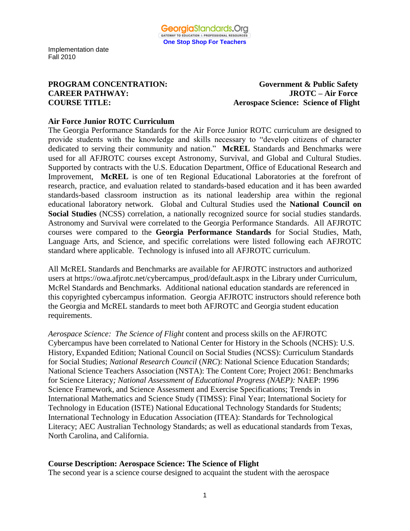**PROGRAM CONCENTRATION:** Government & Public Safety **CAREER PATHWAY: JROTC – Air Force COURSE TITLE: Aerospace Science: Science of Flight** 

### **Air Force Junior ROTC Curriculum**

The Georgia Performance Standards for the Air Force Junior ROTC curriculum are designed to provide students with the knowledge and skills necessary to "develop citizens of character dedicated to serving their community and nation." **McREL** Standards and Benchmarks were used for all AFJROTC courses except Astronomy, Survival, and Global and Cultural Studies. Supported by contracts with the U.S. Education Department, Office of Educational Research and Improvement, **McREL** is one of ten Regional Educational Laboratories at the forefront of research, practice, and evaluation related to standards-based education and it has been awarded standards-based classroom instruction as its national leadership area within the regional educational laboratory network. Global and Cultural Studies used the **National Council on Social Studies** (NCSS) correlation, a nationally recognized source for social studies standards. Astronomy and Survival were correlated to the Georgia Performance Standards. All AFJROTC courses were compared to the **Georgia Performance Standards** for Social Studies, Math, Language Arts, and Science, and specific correlations were listed following each AFJROTC standard where applicable. Technology is infused into all AFJROTC curriculum.

All McREL Standards and Benchmarks are available for AFJROTC instructors and authorized users at https://owa.afjrotc.net/cybercampus\_prod/default.aspx in the Library under Curriculum, McRel Standards and Benchmarks. Additional national education standards are referenced in this copyrighted cybercampus information. Georgia AFJROTC instructors should reference both the Georgia and McREL standards to meet both AFJROTC and Georgia student education requirements.

*Aerospace Science: The Science of Flight* content and process skills on the AFJROTC Cybercampus have been correlated to National Center for History in the Schools (NCHS): U.S. History, Expanded Edition; National Council on Social Studies (NCSS): Curriculum Standards for Social Studies; *National Research Council* (*NRC*): National Science Education Standards; National Science Teachers Association (NSTA): The Content Core; Project 2061: Benchmarks for Science Literacy*; National Assessment of Educational Progress (NAEP):* NAEP: 1996 Science Framework, and Science Assessment and Exercise Specifications; Trends in International Mathematics and Science Study (TIMSS): Final Year; International Society for Technology in Education (ISTE) National Educational Technology Standards for Students; International Technology in Education Association (ITEA): Standards for Technological Literacy; AEC Australian Technology Standards; as well as educational standards from Texas, North Carolina, and California.

### **Course Description: Aerospace Science: The Science of Flight**

The second year is a science course designed to acquaint the student with the aerospace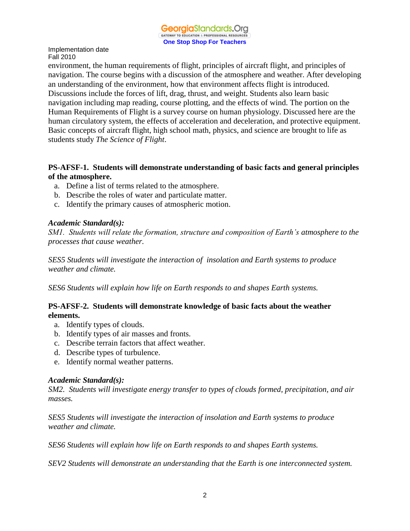

environment, the human requirements of flight, principles of aircraft flight, and principles of navigation. The course begins with a discussion of the atmosphere and weather. After developing an understanding of the environment, how that environment affects flight is introduced. Discussions include the forces of lift, drag, thrust, and weight. Students also learn basic navigation including map reading, course plotting, and the effects of wind. The portion on the Human Requirements of Flight is a survey course on human physiology. Discussed here are the human circulatory system, the effects of acceleration and deceleration, and protective equipment. Basic concepts of aircraft flight, high school math, physics, and science are brought to life as students study *The Science of Flight*.

### **PS-AFSF-1. Students will demonstrate understanding of basic facts and general principles of the atmosphere.**

- a. Define a list of terms related to the atmosphere.
- b. Describe the roles of water and particulate matter.
- c. Identify the primary causes of atmospheric motion.

### *Academic Standard(s):*

*SM1. Students will relate the formation, structure and composition of Earth's atmosphere to the processes that cause weather.*

*SES5 Students will investigate the interaction of insolation and Earth systems to produce weather and climate.*

*SES6 Students will explain how life on Earth responds to and shapes Earth systems.*

### **PS-AFSF-2. Students will demonstrate knowledge of basic facts about the weather elements.**

- a. Identify types of clouds.
- b. Identify types of air masses and fronts.
- c. Describe terrain factors that affect weather.
- d. Describe types of turbulence.
- e. Identify normal weather patterns.

### *Academic Standard(s):*

*SM2. Students will investigate energy transfer to types of clouds formed, precipitation, and air masses.*

*SES5 Students will investigate the interaction of insolation and Earth systems to produce weather and climate.*

*SES6 Students will explain how life on Earth responds to and shapes Earth systems.*

*SEV2 Students will demonstrate an understanding that the Earth is one interconnected system.*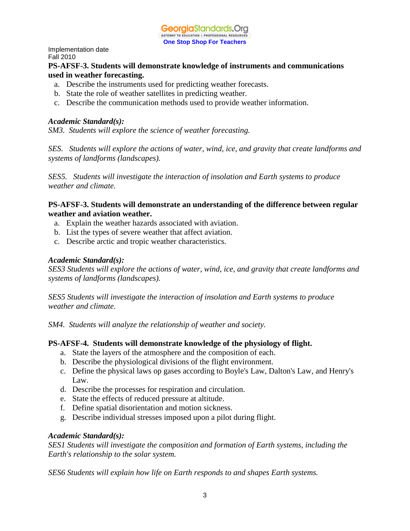### **PS-AFSF-3. Students will demonstrate knowledge of instruments and communications used in weather forecasting.**

- a. Describe the instruments used for predicting weather forecasts.
- b. State the role of weather satellites in predicting weather.
- c. Describe the communication methods used to provide weather information.

### *Academic Standard(s):*

*SM3. Students will explore the science of weather forecasting.*

*SES. Students will explore the actions of water, wind, ice, and gravity that create landforms and systems of landforms (landscapes).*

*SES5. Students will investigate the interaction of insolation and Earth systems to produce weather and climate.*

### **PS-AFSF-3. Students will demonstrate an understanding of the difference between regular weather and aviation weather.**

- a. Explain the weather hazards associated with aviation.
- b. List the types of severe weather that affect aviation.
- c. Describe arctic and tropic weather characteristics.

### *Academic Standard(s):*

*SES3 Students will explore the actions of water, wind, ice, and gravity that create landforms and systems of landforms (landscapes).*

*SES5 Students will investigate the interaction of insolation and Earth systems to produce weather and climate.*

*SM4. Students will analyze the relationship of weather and society.*

### **PS-AFSF-4. Students will demonstrate knowledge of the physiology of flight.**

- a. State the layers of the atmosphere and the composition of each.
- b. Describe the physiological divisions of the flight environment.
- c. Define the physical laws op gases according to Boyle's Law, Dalton's Law, and Henry's Law.
- d. Describe the processes for respiration and circulation.
- e. State the effects of reduced pressure at altitude.
- f. Define spatial disorientation and motion sickness.
- g. Describe individual stresses imposed upon a pilot during flight.

### *Academic Standard(s):*

*SES1 Students will investigate the composition and formation of Earth systems, including the Earth's relationship to the solar system.*

*SES6 Students will explain how life on Earth responds to and shapes Earth systems.*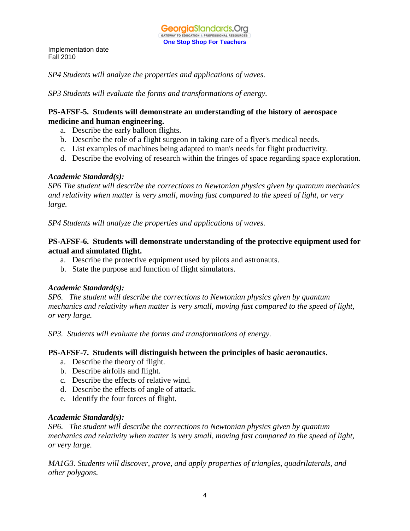*SP4 Students will analyze the properties and applications of waves.*

*SP3 Students will evaluate the forms and transformations of energy.*

### **PS-AFSF-5. Students will demonstrate an understanding of the history of aerospace medicine and human engineering.**

- a. Describe the early balloon flights.
- b. Describe the role of a flight surgeon in taking care of a flyer's medical needs.
- c. List examples of machines being adapted to man's needs for flight productivity.
- d. Describe the evolving of research within the fringes of space regarding space exploration.

### *Academic Standard(s):*

*SP6 The student will describe the corrections to Newtonian physics given by quantum mechanics and relativity when matter is very small, moving fast compared to the speed of light, or very large.*

*SP4 Students will analyze the properties and applications of waves.*

### **PS-AFSF-6. Students will demonstrate understanding of the protective equipment used for actual and simulated flight.**

- a. Describe the protective equipment used by pilots and astronauts.
- b. State the purpose and function of flight simulators.

### *Academic Standard(s):*

*SP6. The student will describe the corrections to Newtonian physics given by quantum mechanics and relativity when matter is very small, moving fast compared to the speed of light, or very large.*

*SP3. Students will evaluate the forms and transformations of energy.*

### **PS-AFSF-7. Students will distinguish between the principles of basic aeronautics.**

- a. Describe the theory of flight.
- b. Describe airfoils and flight.
- c. Describe the effects of relative wind.
- d. Describe the effects of angle of attack.
- e. Identify the four forces of flight.

### *Academic Standard(s):*

*SP6. The student will describe the corrections to Newtonian physics given by quantum mechanics and relativity when matter is very small, moving fast compared to the speed of light, or very large.*

*MA1G3. Students will discover, prove, and apply properties of triangles, quadrilaterals, and other polygons.*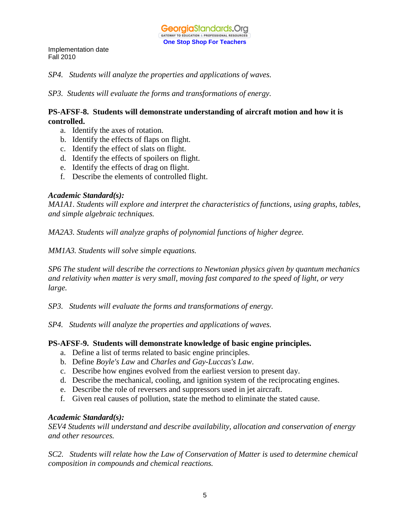*SP4. Students will analyze the properties and applications of waves.*

*SP3. Students will evaluate the forms and transformations of energy.*

### **PS-AFSF-8. Students will demonstrate understanding of aircraft motion and how it is controlled.**

- a. Identify the axes of rotation.
- b. Identify the effects of flaps on flight.
- c. Identify the effect of slats on flight.
- d. Identify the effects of spoilers on flight.
- e. Identify the effects of drag on flight.
- f. Describe the elements of controlled flight.

### *Academic Standard(s):*

*MA1A1. Students will explore and interpret the characteristics of functions, using graphs, tables, and simple algebraic techniques.*

*MA2A3. Students will analyze graphs of polynomial functions of higher degree.*

*MM1A3. Students will solve simple equations.*

*SP6 The student will describe the corrections to Newtonian physics given by quantum mechanics and relativity when matter is very small, moving fast compared to the speed of light, or very large.*

*SP3. Students will evaluate the forms and transformations of energy.*

*SP4. Students will analyze the properties and applications of waves.*

### **PS-AFSF-9. Students will demonstrate knowledge of basic engine principles.**

- a. Define a list of terms related to basic engine principles.
- b. Define *Boyle's Law* and *Charles and Gay-Luccas's Law*.
- c. Describe how engines evolved from the earliest version to present day.
- d. Describe the mechanical, cooling, and ignition system of the reciprocating engines.
- e. Describe the role of reversers and suppressors used in jet aircraft.
- f. Given real causes of pollution, state the method to eliminate the stated cause.

### *Academic Standard(s):*

*SEV4 Students will understand and describe availability, allocation and conservation of energy and other resources.*

*SC2. Students will relate how the Law of Conservation of Matter is used to determine chemical composition in compounds and chemical reactions.*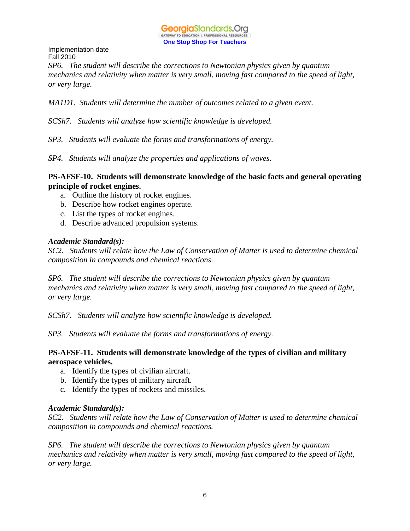

*SP6. The student will describe the corrections to Newtonian physics given by quantum mechanics and relativity when matter is very small, moving fast compared to the speed of light, or very large.*

*MA1D1. Students will determine the number of outcomes related to a given event.*

*SCSh7. Students will analyze how scientific knowledge is developed.* 

*SP3. Students will evaluate the forms and transformations of energy.*

*SP4. Students will analyze the properties and applications of waves.*

### **PS-AFSF-10. Students will demonstrate knowledge of the basic facts and general operating principle of rocket engines.**

- a. Outline the history of rocket engines.
- b. Describe how rocket engines operate.
- c. List the types of rocket engines.
- d. Describe advanced propulsion systems.

### *Academic Standard(s):*

*SC2. Students will relate how the Law of Conservation of Matter is used to determine chemical composition in compounds and chemical reactions.*

*SP6. The student will describe the corrections to Newtonian physics given by quantum mechanics and relativity when matter is very small, moving fast compared to the speed of light, or very large.*

*SCSh7. Students will analyze how scientific knowledge is developed.* 

*SP3. Students will evaluate the forms and transformations of energy.*

### **PS-AFSF-11. Students will demonstrate knowledge of the types of civilian and military aerospace vehicles.**

- a. Identify the types of civilian aircraft.
- b. Identify the types of military aircraft.
- c. Identify the types of rockets and missiles.

### *Academic Standard(s):*

*SC2. Students will relate how the Law of Conservation of Matter is used to determine chemical composition in compounds and chemical reactions.*

*SP6. The student will describe the corrections to Newtonian physics given by quantum mechanics and relativity when matter is very small, moving fast compared to the speed of light, or very large.*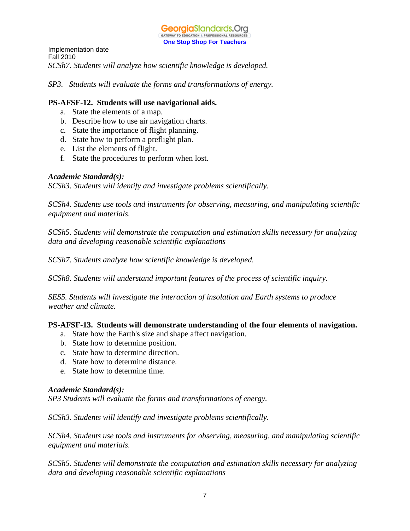

Implementation date Fall 2010 *SCSh7. Students will analyze how scientific knowledge is developed.* 

*SP3. Students will evaluate the forms and transformations of energy.*

### **PS-AFSF-12. Students will use navigational aids.**

- a. State the elements of a map.
- b. Describe how to use air navigation charts.
- c. State the importance of flight planning.
- d. State how to perform a preflight plan.
- e. List the elements of flight.
- f. State the procedures to perform when lost.

### *Academic Standard(s):*

*SCSh3. Students will identify and investigate problems scientifically.* 

*SCSh4. Students use tools and instruments for observing, measuring, and manipulating scientific equipment and materials.* 

*SCSh5. Students will demonstrate the computation and estimation skills necessary for analyzing data and developing reasonable scientific explanations* 

*SCSh7. Students analyze how scientific knowledge is developed.* 

*SCSh8. Students will understand important features of the process of scientific inquiry.* 

*SES5. Students will investigate the interaction of insolation and Earth systems to produce weather and climate.* 

### **PS-AFSF-13. Students will demonstrate understanding of the four elements of navigation.**

- a. State how the Earth's size and shape affect navigation.
- b. State how to determine position.
- c. State how to determine direction.
- d. State how to determine distance.
- e. State how to determine time.

### *Academic Standard(s):*

*SP3 Students will evaluate the forms and transformations of energy.*

*SCSh3. Students will identify and investigate problems scientifically.* 

*SCSh4. Students use tools and instruments for observing, measuring, and manipulating scientific equipment and materials.* 

*SCSh5. Students will demonstrate the computation and estimation skills necessary for analyzing data and developing reasonable scientific explanations*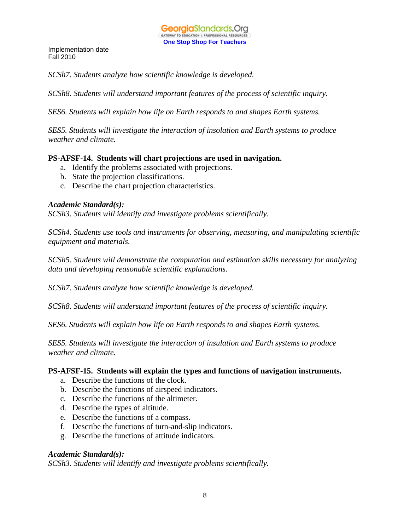*SCSh7. Students analyze how scientific knowledge is developed.* 

*SCSh8. Students will understand important features of the process of scientific inquiry.* 

*SES6. Students will explain how life on Earth responds to and shapes Earth systems.* 

*SES5. Students will investigate the interaction of insolation and Earth systems to produce weather and climate.* 

### **PS-AFSF-14. Students will chart projections are used in navigation.**

- a. Identify the problems associated with projections.
- b. State the projection classifications.
- c. Describe the chart projection characteristics.

### *Academic Standard(s):*

*SCSh3. Students will identify and investigate problems scientifically.* 

*SCSh4. Students use tools and instruments for observing, measuring, and manipulating scientific equipment and materials.* 

*SCSh5. Students will demonstrate the computation and estimation skills necessary for analyzing data and developing reasonable scientific explanations.* 

*SCSh7. Students analyze how scientific knowledge is developed.* 

*SCSh8. Students will understand important features of the process of scientific inquiry.* 

*SES6. Students will explain how life on Earth responds to and shapes Earth systems.* 

*SES5. Students will investigate the interaction of insulation and Earth systems to produce weather and climate.* 

### **PS-AFSF-15. Students will explain the types and functions of navigation instruments.**

- a. Describe the functions of the clock.
- b. Describe the functions of airspeed indicators.
- c. Describe the functions of the altimeter.
- d. Describe the types of altitude.
- e. Describe the functions of a compass.
- f. Describe the functions of turn-and-slip indicators.
- g. Describe the functions of attitude indicators.

### *Academic Standard(s):*

*SCSh3. Students will identify and investigate problems scientifically.*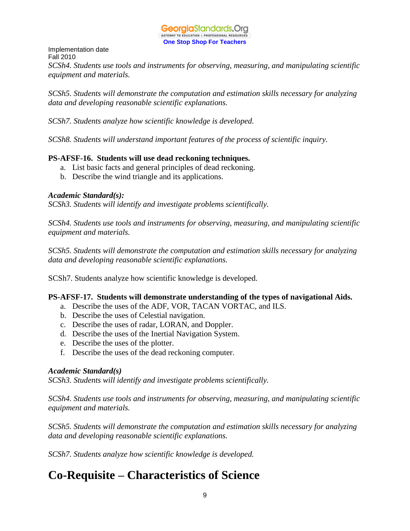

Implementation date Fall 2010 *SCSh4. Students use tools and instruments for observing, measuring, and manipulating scientific equipment and materials.* 

*SCSh5. Students will demonstrate the computation and estimation skills necessary for analyzing data and developing reasonable scientific explanations.* 

*SCSh7. Students analyze how scientific knowledge is developed.* 

*SCSh8. Students will understand important features of the process of scientific inquiry.* 

### **PS-AFSF-16. Students will use dead reckoning techniques.**

- a. List basic facts and general principles of dead reckoning.
- b. Describe the wind triangle and its applications.

### *Academic Standard(s):*

*SCSh3. Students will identify and investigate problems scientifically.* 

*SCSh4. Students use tools and instruments for observing, measuring, and manipulating scientific equipment and materials.* 

*SCSh5. Students will demonstrate the computation and estimation skills necessary for analyzing data and developing reasonable scientific explanations.* 

SCSh7. Students analyze how scientific knowledge is developed.

### **PS-AFSF-17. Students will demonstrate understanding of the types of navigational Aids.**

- a. Describe the uses of the ADF, VOR, TACAN VORTAC, and ILS.
- b. Describe the uses of Celestial navigation.
- c. Describe the uses of radar, LORAN, and Doppler.
- d. Describe the uses of the Inertial Navigation System.
- e. Describe the uses of the plotter.
- f. Describe the uses of the dead reckoning computer.

### *Academic Standard(s)*

*SCSh3. Students will identify and investigate problems scientifically.* 

*SCSh4. Students use tools and instruments for observing, measuring, and manipulating scientific equipment and materials.* 

*SCSh5. Students will demonstrate the computation and estimation skills necessary for analyzing data and developing reasonable scientific explanations.* 

*SCSh7. Students analyze how scientific knowledge is developed.* 

# **Co-Requisite – Characteristics of Science**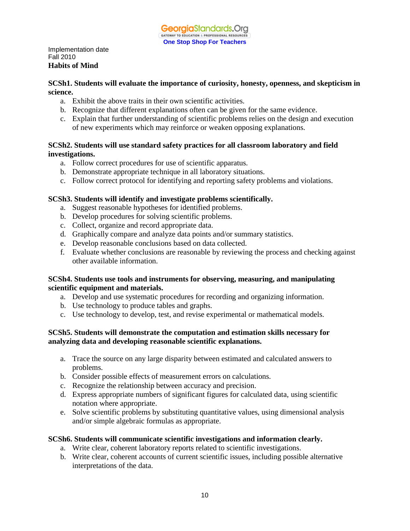Implementation date Fall 2010 **Habits of Mind** 

### **SCSh1. Students will evaluate the importance of curiosity, honesty, openness, and skepticism in science.**

- a. Exhibit the above traits in their own scientific activities.
- b. Recognize that different explanations often can be given for the same evidence.
- c. Explain that further understanding of scientific problems relies on the design and execution of new experiments which may reinforce or weaken opposing explanations.

### **SCSh2. Students will use standard safety practices for all classroom laboratory and field investigations.**

- a. Follow correct procedures for use of scientific apparatus.
- b. Demonstrate appropriate technique in all laboratory situations.
- c. Follow correct protocol for identifying and reporting safety problems and violations.

### **SCSh3. Students will identify and investigate problems scientifically.**

- a. Suggest reasonable hypotheses for identified problems.
- b. Develop procedures for solving scientific problems.
- c. Collect, organize and record appropriate data.
- d. Graphically compare and analyze data points and/or summary statistics.
- e. Develop reasonable conclusions based on data collected.
- f. Evaluate whether conclusions are reasonable by reviewing the process and checking against other available information.

### **SCSh4. Students use tools and instruments for observing, measuring, and manipulating scientific equipment and materials.**

- a. Develop and use systematic procedures for recording and organizing information.
- b. Use technology to produce tables and graphs.
- c. Use technology to develop, test, and revise experimental or mathematical models.

### **SCSh5. Students will demonstrate the computation and estimation skills necessary for analyzing data and developing reasonable scientific explanations.**

- a. Trace the source on any large disparity between estimated and calculated answers to problems.
- b. Consider possible effects of measurement errors on calculations.
- c. Recognize the relationship between accuracy and precision.
- d. Express appropriate numbers of significant figures for calculated data, using scientific notation where appropriate.
- e. Solve scientific problems by substituting quantitative values, using dimensional analysis and/or simple algebraic formulas as appropriate.

### **SCSh6. Students will communicate scientific investigations and information clearly.**

- a. Write clear, coherent laboratory reports related to scientific investigations.
- b. Write clear, coherent accounts of current scientific issues, including possible alternative interpretations of the data.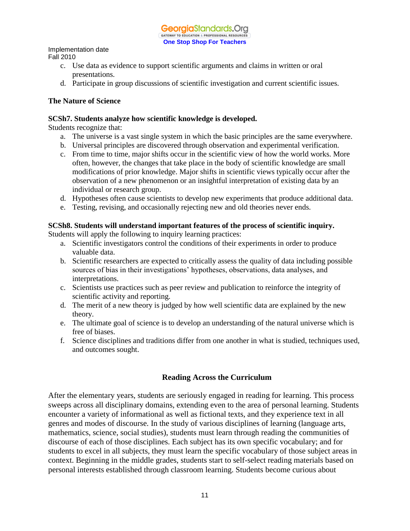Implementation date

Fall 2010

- c. Use data as evidence to support scientific arguments and claims in written or oral presentations.
- d. Participate in group discussions of scientific investigation and current scientific issues.

### **The Nature of Science**

### **SCSh7. Students analyze how scientific knowledge is developed.**

Students recognize that:

- a. The universe is a vast single system in which the basic principles are the same everywhere.
- b. Universal principles are discovered through observation and experimental verification.
- c. From time to time, major shifts occur in the scientific view of how the world works. More often, however, the changes that take place in the body of scientific knowledge are small modifications of prior knowledge. Major shifts in scientific views typically occur after the observation of a new phenomenon or an insightful interpretation of existing data by an individual or research group.
- d. Hypotheses often cause scientists to develop new experiments that produce additional data.
- e. Testing, revising, and occasionally rejecting new and old theories never ends.

### **SCSh8. Students will understand important features of the process of scientific inquiry.**

Students will apply the following to inquiry learning practices:

- a. Scientific investigators control the conditions of their experiments in order to produce valuable data.
- b. Scientific researchers are expected to critically assess the quality of data including possible sources of bias in their investigations' hypotheses, observations, data analyses, and interpretations.
- c. Scientists use practices such as peer review and publication to reinforce the integrity of scientific activity and reporting.
- d. The merit of a new theory is judged by how well scientific data are explained by the new theory.
- e. The ultimate goal of science is to develop an understanding of the natural universe which is free of biases.
- f. Science disciplines and traditions differ from one another in what is studied, techniques used, and outcomes sought.

### **Reading Across the Curriculum**

After the elementary years, students are seriously engaged in reading for learning. This process sweeps across all disciplinary domains, extending even to the area of personal learning. Students encounter a variety of informational as well as fictional texts, and they experience text in all genres and modes of discourse. In the study of various disciplines of learning (language arts, mathematics, science, social studies), students must learn through reading the communities of discourse of each of those disciplines. Each subject has its own specific vocabulary; and for students to excel in all subjects, they must learn the specific vocabulary of those subject areas in context. Beginning in the middle grades, students start to self-select reading materials based on personal interests established through classroom learning. Students become curious about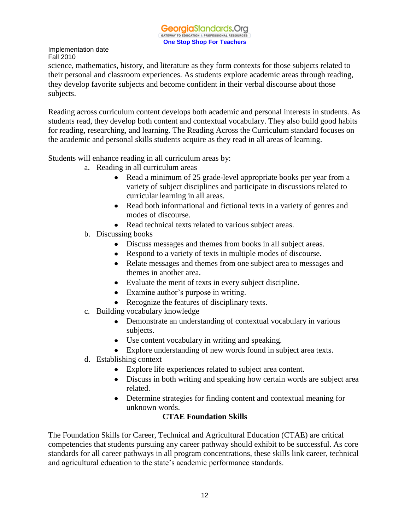science, mathematics, history, and literature as they form contexts for those subjects related to their personal and classroom experiences. As students explore academic areas through reading, they develop favorite subjects and become confident in their verbal discourse about those subjects.

Reading across curriculum content develops both academic and personal interests in students. As students read, they develop both content and contextual vocabulary. They also build good habits for reading, researching, and learning. The Reading Across the Curriculum standard focuses on the academic and personal skills students acquire as they read in all areas of learning.

Students will enhance reading in all curriculum areas by:

- a. Reading in all curriculum areas
	- Read a minimum of 25 grade-level appropriate books per year from a variety of subject disciplines and participate in discussions related to curricular learning in all areas.
	- Read both informational and fictional texts in a variety of genres and modes of discourse.
	- Read technical texts related to various subject areas.
- b. Discussing books
	- Discuss messages and themes from books in all subject areas.
	- Respond to a variety of texts in multiple modes of discourse.
	- Relate messages and themes from one subject area to messages and themes in another area.
	- Evaluate the merit of texts in every subject discipline.
	- Examine author's purpose in writing.
	- Recognize the features of disciplinary texts.
- c. Building vocabulary knowledge
	- Demonstrate an understanding of contextual vocabulary in various subjects.
	- Use content vocabulary in writing and speaking.
	- Explore understanding of new words found in subject area texts.
- d. Establishing context
	- Explore life experiences related to subject area content.
	- Discuss in both writing and speaking how certain words are subject area related.
	- Determine strategies for finding content and contextual meaning for unknown words.

### **CTAE Foundation Skills**

The Foundation Skills for Career, Technical and Agricultural Education (CTAE) are critical competencies that students pursuing any career pathway should exhibit to be successful. As core standards for all career pathways in all program concentrations, these skills link career, technical and agricultural education to the state's academic performance standards.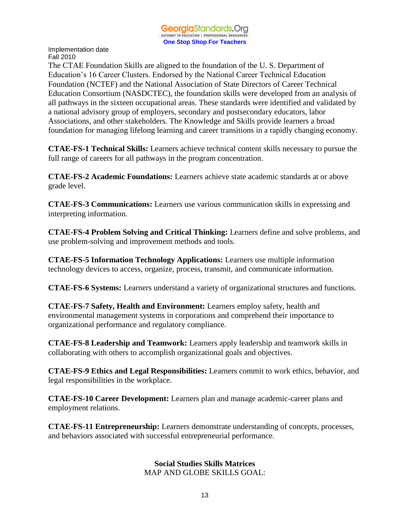

The CTAE Foundation Skills are aligned to the foundation of the U. S. Department of Education's 16 Career Clusters. Endorsed by the National Career Technical Education Foundation (NCTEF) and the National Association of State Directors of Career Technical Education Consortium (NASDCTEC), the foundation skills were developed from an analysis of all pathways in the sixteen occupational areas. These standards were identified and validated by a national advisory group of employers, secondary and postsecondary educators, labor Associations, and other stakeholders. The Knowledge and Skills provide learners a broad foundation for managing lifelong learning and career transitions in a rapidly changing economy.

**CTAE-FS-1 Technical Skills:** Learners achieve technical content skills necessary to pursue the full range of careers for all pathways in the program concentration.

**CTAE-FS-2 Academic Foundations:** Learners achieve state academic standards at or above grade level.

**CTAE-FS-3 Communications:** Learners use various communication skills in expressing and interpreting information.

**CTAE-FS-4 Problem Solving and Critical Thinking:** Learners define and solve problems, and use problem-solving and improvement methods and tools.

**CTAE-FS-5 Information Technology Applications:** Learners use multiple information technology devices to access, organize, process, transmit, and communicate information.

**CTAE-FS-6 Systems:** Learners understand a variety of organizational structures and functions.

**CTAE-FS-7 Safety, Health and Environment:** Learners employ safety, health and environmental management systems in corporations and comprehend their importance to organizational performance and regulatory compliance.

**CTAE-FS-8 Leadership and Teamwork:** Learners apply leadership and teamwork skills in collaborating with others to accomplish organizational goals and objectives.

**CTAE-FS-9 Ethics and Legal Responsibilities:** Learners commit to work ethics, behavior, and legal responsibilities in the workplace.

**CTAE-FS-10 Career Development:** Learners plan and manage academic-career plans and employment relations.

**CTAE-FS-11 Entrepreneurship:** Learners demonstrate understanding of concepts, processes, and behaviors associated with successful entrepreneurial performance.

> **Social Studies Skills Matrices** MAP AND GLOBE SKILLS GOAL: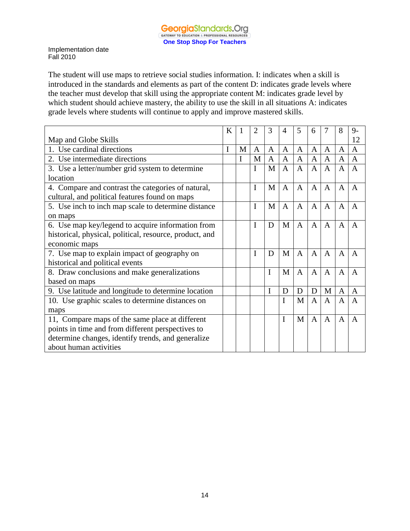The student will use maps to retrieve social studies information. I: indicates when a skill is introduced in the standards and elements as part of the content D: indicates grade levels where the teacher must develop that skill using the appropriate content M: indicates grade level by which student should achieve mastery, the ability to use the skill in all situations A: indicates grade levels where students will continue to apply and improve mastered skills.

|                                                         | K |   | 2            | 3            | 4              | 5              | 6              |                | 8              | $9-$           |
|---------------------------------------------------------|---|---|--------------|--------------|----------------|----------------|----------------|----------------|----------------|----------------|
| Map and Globe Skills                                    |   |   |              |              |                |                |                |                |                | 12             |
| 1. Use cardinal directions                              | I | M | $\mathbf{A}$ | A            | A              | $\mathbf{A}$   | $\overline{A}$ | $\overline{A}$ | A              | A              |
| 2. Use intermediate directions                          |   |   | M            | $\mathbf{A}$ | A              | $\overline{A}$ | $\mathbf{A}$   | A              | A              | $\overline{A}$ |
| 3. Use a letter/number grid system to determine         |   |   | I            | M            | $\overline{A}$ | $\mathbf{A}$   | $\overline{A}$ | $\overline{A}$ | $\mathbf{A}$   | $\overline{A}$ |
| location                                                |   |   |              |              |                |                |                |                |                |                |
| 4. Compare and contrast the categories of natural,      |   |   | I            | M            | $\mathsf{A}$   | A              | $\mathsf{A}$   | A              | $\mathsf{A}$   | A              |
| cultural, and political features found on maps          |   |   |              |              |                |                |                |                |                |                |
| 5. Use inch to inch map scale to determine distance     |   |   | I            | M            | $\mathbf{A}$   | $\mathbf{A}$   | $\mathbf{A}$   | A              | A              | A              |
| on maps                                                 |   |   |              |              |                |                |                |                |                |                |
| 6. Use map key/legend to acquire information from       |   |   | I            | D            | M              | $\mathbf{A}$   | $\mathbf{A}$   | $\overline{A}$ | A              | A              |
| historical, physical, political, resource, product, and |   |   |              |              |                |                |                |                |                |                |
| economic maps                                           |   |   |              |              |                |                |                |                |                |                |
| 7. Use map to explain impact of geography on            |   |   | I            | D            | M              | $\mathsf{A}$   | $\overline{A}$ | $\mathsf{A}$   | $\overline{A}$ | $\overline{A}$ |
| historical and political events                         |   |   |              |              |                |                |                |                |                |                |
| 8. Draw conclusions and make generalizations            |   |   |              | I            | M              | A              | A              | A              | $\mathsf{A}$   | A              |
| based on maps                                           |   |   |              |              |                |                |                |                |                |                |
| 9. Use latitude and longitude to determine location     |   |   |              | I            | D              | D              | D              | M              | A              | A              |
| 10. Use graphic scales to determine distances on        |   |   |              |              | I              | M              | $\overline{A}$ | $\mathbf{A}$   | A              | A              |
| maps                                                    |   |   |              |              |                |                |                |                |                |                |
| 11, Compare maps of the same place at different         |   |   |              |              | $\mathbf I$    | M              | $\mathsf{A}$   | $\overline{A}$ | $\overline{A}$ | $\overline{A}$ |
| points in time and from different perspectives to       |   |   |              |              |                |                |                |                |                |                |
| determine changes, identify trends, and generalize      |   |   |              |              |                |                |                |                |                |                |
| about human activities                                  |   |   |              |              |                |                |                |                |                |                |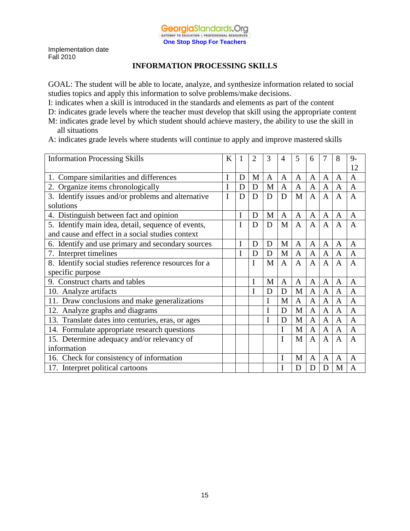### **INFORMATION PROCESSING SKILLS**

GOAL: The student will be able to locate, analyze, and synthesize information related to social studies topics and apply this information to solve problems/make decisions.

I: indicates when a skill is introduced in the standards and elements as part of the content

D: indicates grade levels where the teacher must develop that skill using the appropriate content

- M: indicates grade level by which student should achieve mastery, the ability to use the skill in all situations
- A: indicates grade levels where students will continue to apply and improve mastered skills

| <b>Information Processing Skills</b>                 | K |             | 2 | 3 | $\overline{4}$ | 5              | 6              | 7              | 8              | $9-$           |
|------------------------------------------------------|---|-------------|---|---|----------------|----------------|----------------|----------------|----------------|----------------|
|                                                      |   |             |   |   |                |                |                |                |                | 12             |
| 1. Compare similarities and differences              | I | D           | M | A | A              | A              | A              | A              | $\mathbf{A}$   | $\overline{A}$ |
| 2. Organize items chronologically                    |   | D           | D | M | A              | A              | A              | A              | A              | $\mathsf{A}$   |
| 3. Identify issues and/or problems and alternative   | I | D           | D | D | D              | M              | $\overline{A}$ | $\overline{A}$ | $\overline{A}$ | $\overline{A}$ |
| solutions                                            |   |             |   |   |                |                |                |                |                |                |
| 4. Distinguish between fact and opinion              |   | $\mathbf I$ | D | M | $\mathbf{A}$   | $\overline{A}$ | $\mathbf{A}$   | $\mathbf{A}$   | $\mathbf{A}$   | $\mathbf{A}$   |
| 5. Identify main idea, detail, sequence of events,   |   | I           | D | D | M              | A              | A              | $\overline{A}$ | $\overline{A}$ | $\overline{A}$ |
| and cause and effect in a social studies context     |   |             |   |   |                |                |                |                |                |                |
| 6. Identify and use primary and secondary sources    |   | I           | D | D | M              | $\mathbf{A}$   | A              | $\mathbf{A}$   | $\mathbf{A}$   | A              |
| 7. Interpret timelines                               |   | I           | D | D | M              | $\mathbf{A}$   | $\mathbf{A}$   | $\mathbf{A}$   | $\mathbf{A}$   | $\mathbf{A}$   |
| 8. Identify social studies reference resources for a |   |             | I | M | $\mathbf{A}$   | $\mathsf{A}$   | A              | A              | $\overline{A}$ | $\mathsf{A}$   |
| specific purpose                                     |   |             |   |   |                |                |                |                |                |                |
| Construct charts and tables<br>9.                    |   |             | I | M | $\mathbf{A}$   | A              | $\overline{A}$ | $\mathbf{A}$   | $\overline{A}$ | A              |
| 10. Analyze artifacts                                |   |             | I | D | D              | M              | $\mathbf{A}$   | $\mathbf{A}$   | $\mathbf{A}$   | $\mathbf{A}$   |
| 11. Draw conclusions and make generalizations        |   |             |   | I | M              | $\overline{A}$ | $\overline{A}$ | $\overline{A}$ | $\overline{A}$ | $\overline{A}$ |
| 12. Analyze graphs and diagrams                      |   |             |   | I | D              | M              | $\overline{A}$ | $\mathbf{A}$   | $\overline{A}$ | $\overline{A}$ |
| 13. Translate dates into centuries, eras, or ages    |   |             |   | I | D              | M              | $\mathbf{A}$   | $\mathbf{A}$   | $\overline{A}$ | $\overline{A}$ |
| 14. Formulate appropriate research questions         |   |             |   |   | I              | M              | $\mathbf{A}$   | $\mathbf{A}$   | $\mathbf{A}$   | $\mathbf{A}$   |
| 15. Determine adequacy and/or relevancy of           |   |             |   |   | I              | M              | $\overline{A}$ | $\overline{A}$ | $\overline{A}$ | $\overline{A}$ |
| information                                          |   |             |   |   |                |                |                |                |                |                |
| 16. Check for consistency of information             |   |             |   |   |                | M              | A              | $\mathbf{A}$   | $\mathbf{A}$   | $\mathbf{A}$   |
| 17. Interpret political cartoons                     |   |             |   |   |                | D              | D              | D              | M              | A              |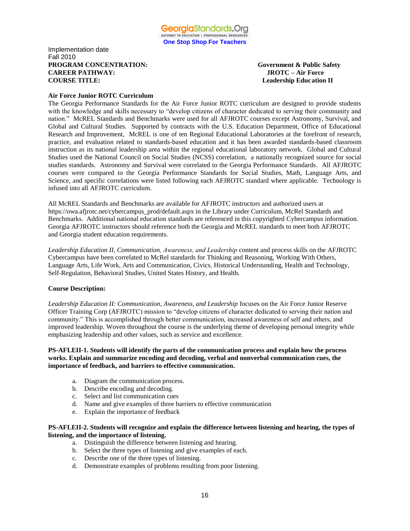#### Implementation date Fall 2010 **PROGRAM CONCENTRATION: Government & Public Safety CAREER PATHWAY: JROTC – Air Force COURSE TITLE:** Leadership Education II

#### **Air Force Junior ROTC Curriculum**

The Georgia Performance Standards for the Air Force Junior ROTC curriculum are designed to provide students with the knowledge and skills necessary to "develop citizens of character dedicated to serving their community and nation." McREL Standards and Benchmarks were used for all AFJROTC courses except Astronomy, Survival, and Global and Cultural Studies. Supported by contracts with the U.S. Education Department, Office of Educational Research and Improvement, McREL is one of ten Regional Educational Laboratories at the forefront of research, practice, and evaluation related to standards-based education and it has been awarded standards-based classroom instruction as its national leadership area within the regional educational laboratory network. Global and Cultural Studies used the National Council on Social Studies (NCSS) correlation, a nationally recognized source for social studies standards. Astronomy and Survival were correlated to the Georgia Performance Standards. All AFJROTC courses were compared to the Georgia Performance Standards for Social Studies, Math, Language Arts, and Science, and specific correlations were listed following each AFJROTC standard where applicable. Technology is infused into all AFJROTC curriculum.

All McREL Standards and Benchmarks are available for AFJROTC instructors and authorized users at https://owa.afjrotc.net/cybercampus\_prod/default.aspx in the Library under Curriculum, McRel Standards and Benchmarks. Additional national education standards are referenced in this copyrighted Cybercampus information. Georgia AFJROTC instructors should reference both the Georgia and McREL standards to meet both AFJROTC and Georgia student education requirements.

*Leadership Education II*, *Communication, Awareness, and Leadership* content and process skills on the AFJROTC Cybercampus have been correlated to McRel standards for Thinking and Reasoning, Working With Others, Language Arts, Life Work, Arts and Communication, Civics, Historical Understanding, Health and Technology, Self-Regulation, Behavioral Studies, United States History, and Health.

#### **Course Description:**

Leadership Education II: Communication, Awareness, and Leadership focuses on the Air Force Junior Reserve Officer Training Corp (AFJROTC) mission to "develop citizens of character dedicated to serving their nation and community." This is accomplished through better communication, increased awareness of self and others, and improved leadership. Woven throughout the course is the underlying theme of developing personal integrity while emphasizing leadership and other values, such as service and excellence.

#### **PS-AFLEII-1. Students will identify the parts of the communication process and explain how the process works. Explain and summarize encoding and decoding, verbal and nonverbal communication cues, the importance of feedback, and barriers to effective communication.**

- a. Diagram the communication process.
- b. Describe encoding and decoding.
- c. Select and list communication cues
- d. Name and give examples of three barriers to effective communication
- e. Explain the importance of feedback

#### **PS-AFLEII-2. Students will recognize and explain the difference between listening and hearing, the types of listening, and the importance of listening.**

- a. Distinguish the difference between listening and hearing.
- b. Select the three types of listening and give examples of each.
- c. Describe one of the three types of listening.
- d. Demonstrate examples of problems resulting from poor listening.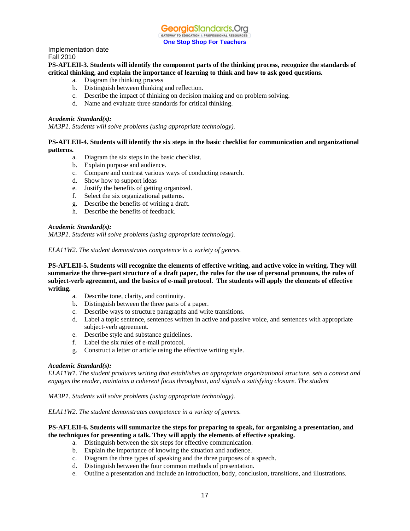

#### **PS-AFLEII-3. Students will identify the component parts of the thinking process, recognize the standards of critical thinking, and explain the importance of learning to think and how to ask good questions.**

- a. Diagram the thinking process
- b. Distinguish between thinking and reflection.
- c. Describe the impact of thinking on decision making and on problem solving.
- d. Name and evaluate three standards for critical thinking.

#### *Academic Standard(s):*

*MA3P1. Students will solve problems (using appropriate technology).*

#### **PS-AFLEII-4. Students will identify the six steps in the basic checklist for communication and organizational patterns.**

- a. Diagram the six steps in the basic checklist.
- b. Explain purpose and audience.
- c. Compare and contrast various ways of conducting research.
- d. Show how to support ideas
- e. Justify the benefits of getting organized.
- f. Select the six organizational patterns.
- g. Describe the benefits of writing a draft.
- h. Describe the benefits of feedback.

#### *Academic Standard(s):*

*MA3P1. Students will solve problems (using appropriate technology).*

*ELA11W2. The student demonstrates competence in a variety of genres.* 

**PS-AFLEII-5. Students will recognize the elements of effective writing, and active voice in writing. They will summarize the three-part structure of a draft paper, the rules for the use of personal pronouns, the rules of subject-verb agreement, and the basics of e-mail protocol. The students will apply the elements of effective writing.**

- a. Describe tone, clarity, and continuity.
- b. Distinguish between the three parts of a paper.
- c. Describe ways to structure paragraphs and write transitions.
- d. Label a topic sentence, sentences written in active and passive voice, and sentences with appropriate subject-verb agreement.
- e. Describe style and substance guidelines.
- f. Label the six rules of e-mail protocol.
- g. Construct a letter or article using the effective writing style.

#### *Academic Standard(s):*

*ELA11W1. The student produces writing that establishes an appropriate organizational structure, sets a context and engages the reader, maintains a coherent focus throughout, and signals a satisfying closure. The student* 

*MA3P1. Students will solve problems (using appropriate technology).*

*ELA11W2. The student demonstrates competence in a variety of genres.* 

#### **PS-AFLEII-6. Students will summarize the steps for preparing to speak, for organizing a presentation, and the techniques for presenting a talk. They will apply the elements of effective speaking.**

- a. Distinguish between the six steps for effective communication.
- b. Explain the importance of knowing the situation and audience.
- c. Diagram the three types of speaking and the three purposes of a speech.
- d. Distinguish between the four common methods of presentation.
- e. Outline a presentation and include an introduction, body, conclusion, transitions, and illustrations.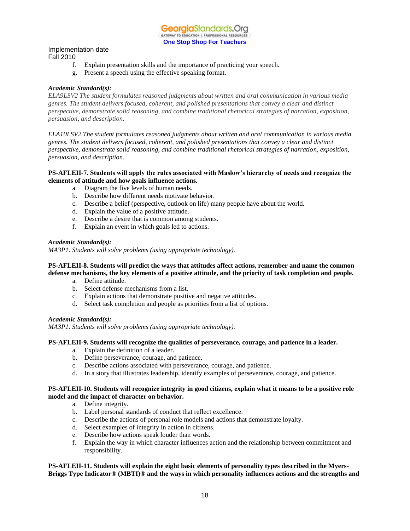

### Implementation date

Fall 2010

- f. Explain presentation skills and the importance of practicing your speech.
- g. Present a speech using the effective speaking format.

#### *Academic Standard(s):*

*ELA9LSV2 The student formulates reasoned judgments about written and oral communication in various media genres. The student delivers focused, coherent, and polished presentations that convey a clear and distinct perspective, demonstrate solid reasoning, and combine traditional rhetorical strategies of narration, exposition, persuasion, and description.*

*ELA10LSV2 The student formulates reasoned judgments about written and oral communication in various media genres. The student delivers focused, coherent, and polished presentations that convey a clear and distinct perspective, demonstrate solid reasoning, and combine traditional rhetorical strategies of narration, exposition, persuasion, and description.*

#### **PS-AFLEII-7. Students will apply the rules associated with Maslow's hierarchy of needs and recognize the elements of attitude and how goals influence actions.**

- a. Diagram the five levels of human needs.
- b. Describe how different needs motivate behavior.
- c. Describe a belief (perspective, outlook on life) many people have about the world.
- d. Explain the value of a positive attitude.
- e. Describe a desire that is common among students.
- f. Explain an event in which goals led to actions.

#### *Academic Standard(s):*

*MA3P1. Students will solve problems (using appropriate technology).*

#### **PS-AFLEII-8. Students will predict the ways that attitudes affect actions, remember and name the common defense mechanisms, the key elements of a positive attitude, and the priority of task completion and people.**

- a. Define attitude.
- b. Select defense mechanisms from a list.
- c. Explain actions that demonstrate positive and negative attitudes.
- d. Select task completion and people as priorities from a list of options.

#### *Academic Standard(s):*

*MA3P1. Students will solve problems (using appropriate technology).*

#### **PS-AFLEII-9. Students will recognize the qualities of perseverance, courage, and patience in a leader.**

- a. Explain the definition of a leader.
- b. Define perseverance, courage, and patience.
- c. Describe actions associated with perseverance, courage, and patience.
- d. In a story that illustrates leadership, identify examples of perseverance, courage, and patience.

#### **PS-AFLEII-10. Students will recognize integrity in good citizens, explain what it means to be a positive role model and the impact of character on behavior.**

- a. Define integrity.
- b. Label personal standards of conduct that reflect excellence.
- c. Describe the actions of personal role models and actions that demonstrate loyalty.
- d. Select examples of integrity in action in citizens.
- e. Describe how actions speak louder than words.
- f. Explain the way in which character influences action and the relationship between commitment and responsibility.

#### **PS-AFLEII-11. Students will explain the eight basic elements of personality types described in the Myers-Briggs Type Indicator® (MBTI)® and the ways in which personality influences actions and the strengths and**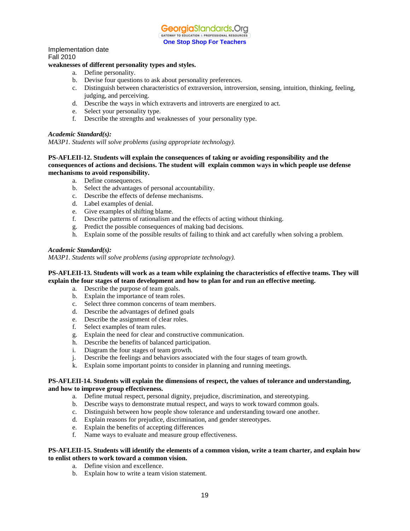

**One Stop Shop For Teachers**

### Implementation date Fall 2010

#### **weaknesses of different personality types and styles.**

- a. Define personality.
- b. Devise four questions to ask about personality preferences.
- c. Distinguish between characteristics of extraversion, introversion, sensing, intuition, thinking, feeling, judging, and perceiving.
- d. Describe the ways in which extraverts and introverts are energized to act.
- e. Select your personality type.
- f. Describe the strengths and weaknesses of your personality type.

#### *Academic Standard(s):*

*MA3P1. Students will solve problems (using appropriate technology).*

#### **PS-AFLEII-12. Students will explain the consequences of taking or avoiding responsibility and the consequences of actions and decisions. The student will explain common ways in which people use defense mechanisms to avoid responsibility.**

- a. Define consequences.
- b. Select the advantages of personal accountability.
- c. Describe the effects of defense mechanisms.
- d. Label examples of denial.
- e. Give examples of shifting blame.
- f. Describe patterns of rationalism and the effects of acting without thinking.
- g. Predict the possible consequences of making bad decisions.
- h. Explain some of the possible results of failing to think and act carefully when solving a problem.

#### *Academic Standard(s):*

*MA3P1. Students will solve problems (using appropriate technology).*

#### **PS-AFLEII-13. Students will work as a team while explaining the characteristics of effective teams. They will explain the four stages of team development and how to plan for and run an effective meeting.**

- a. Describe the purpose of team goals.
- b. Explain the importance of team roles.
- c. Select three common concerns of team members.
- d. Describe the advantages of defined goals
- e. Describe the assignment of clear roles.
- f. Select examples of team rules.
- g. Explain the need for clear and constructive communication.
- h. Describe the benefits of balanced participation.
- i. Diagram the four stages of team growth.
- j. Describe the feelings and behaviors associated with the four stages of team growth.
- k. Explain some important points to consider in planning and running meetings.

#### **PS-AFLEII-14. Students will explain the dimensions of respect, the values of tolerance and understanding, and how to improve group effectiveness.**

- a. Define mutual respect, personal dignity, prejudice, discrimination, and stereotyping.
- b. Describe ways to demonstrate mutual respect, and ways to work toward common goals.
- c. Distinguish between how people show tolerance and understanding toward one another.
- d. Explain reasons for prejudice, discrimination, and gender stereotypes.
- e. Explain the benefits of accepting differences
- f. Name ways to evaluate and measure group effectiveness.

#### **PS-AFLEII-15. Students will identify the elements of a common vision, write a team charter, and explain how to enlist others to work toward a common vision.**

- a. Define vision and excellence.
- b. Explain how to write a team vision statement.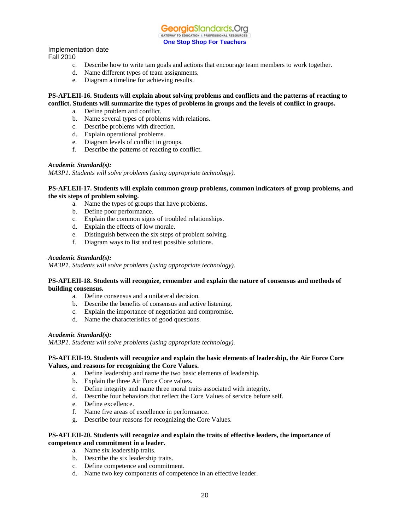**Georgia**Standards.Ora GATEWAY TO EDUCATION & PROFESSIONAL RESOURCE **One Stop Shop For Teachers**

Implementation date

Fall 2010

- c. Describe how to write tam goals and actions that encourage team members to work together.
- d. Name different types of team assignments.
- e. Diagram a timeline for achieving results.

#### **PS-AFLEII-16. Students will explain about solving problems and conflicts and the patterns of reacting to conflict. Students will summarize the types of problems in groups and the levels of conflict in groups.**

- a. Define problem and conflict.
- b. Name several types of problems with relations.
- c. Describe problems with direction.
- d. Explain operational problems.
- e. Diagram levels of conflict in groups.
- f. Describe the patterns of reacting to conflict.

#### *Academic Standard(s):*

*MA3P1. Students will solve problems (using appropriate technology).*

#### **PS-AFLEII-17. Students will explain common group problems, common indicators of group problems, and the six steps of problem solving.**

- a. Name the types of groups that have problems.
- b. Define poor performance.
- c. Explain the common signs of troubled relationships.
- d. Explain the effects of low morale.
- e. Distinguish between the six steps of problem solving.
- f. Diagram ways to list and test possible solutions.

#### *Academic Standard(s):*

*MA3P1. Students will solve problems (using appropriate technology).*

#### **PS-AFLEII-18. Students will recognize, remember and explain the nature of consensus and methods of building consensus.**

- a. Define consensus and a unilateral decision.
- b. Describe the benefits of consensus and active listening.
- c. Explain the importance of negotiation and compromise.
- d. Name the characteristics of good questions.

#### *Academic Standard(s):*

*MA3P1. Students will solve problems (using appropriate technology).*

#### **PS-AFLEII-19. Students will recognize and explain the basic elements of leadership, the Air Force Core Values, and reasons for recognizing the Core Values.**

- a. Define leadership and name the two basic elements of leadership.
- b. Explain the three Air Force Core values.
- c. Define integrity and name three moral traits associated with integrity.
- d. Describe four behaviors that reflect the Core Values of service before self.
- e. Define excellence.
- f. Name five areas of excellence in performance.
- g. Describe four reasons for recognizing the Core Values.

### **PS-AFLEII-20. Students will recognize and explain the traits of effective leaders, the importance of competence and commitment in a leader.**

- a. Name six leadership traits.
- b. Describe the six leadership traits.
- c. Define competence and commitment.
- d. Name two key components of competence in an effective leader.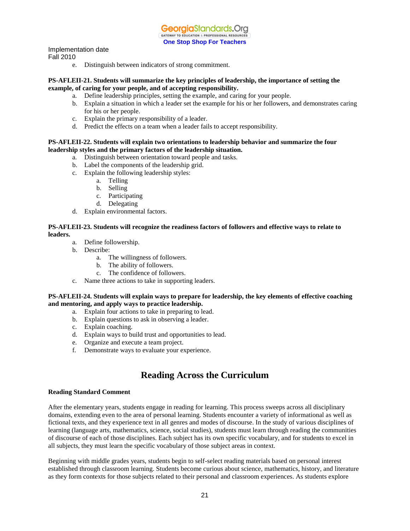GeorgiaStandards.Org GATEWAY TO EDUCATION & PROFESSIONAL RESOURCES **One Stop Shop For Teachers**

#### Implementation date

Fall 2010

e. Distinguish between indicators of strong commitment.

#### **PS-AFLEII-21. Students will summarize the key principles of leadership, the importance of setting the example, of caring for your people, and of accepting responsibility.**

- a. Define leadership principles, setting the example, and caring for your people.
- b. Explain a situation in which a leader set the example for his or her followers, and demonstrates caring for his or her people.
- c. Explain the primary responsibility of a leader.
- d. Predict the effects on a team when a leader fails to accept responsibility.

#### **PS-AFLEII-22. Students will explain two orientations to leadership behavior and summarize the four leadership styles and the primary factors of the leadership situation.**

- a. Distinguish between orientation toward people and tasks.
- b. Label the components of the leadership grid.
- c. Explain the following leadership styles:
	- a. Telling
	- b. Selling
	- c. Participating
	- d. Delegating
- d. Explain environmental factors.

#### **PS-AFLEII-23. Students will recognize the readiness factors of followers and effective ways to relate to leaders.**

- a. Define followership.
- b. Describe:
	- a. The willingness of followers.
	- b. The ability of followers.
	- c. The confidence of followers.
- c. Name three actions to take in supporting leaders.

#### **PS-AFLEII-24. Students will explain ways to prepare for leadership, the key elements of effective coaching and mentoring, and apply ways to practice leadership.**

- a. Explain four actions to take in preparing to lead.
- b. Explain questions to ask in observing a leader.
- c. Explain coaching.
- d. Explain ways to build trust and opportunities to lead.
- e. Organize and execute a team project.
- f. Demonstrate ways to evaluate your experience.

## **Reading Across the Curriculum**

#### **Reading Standard Comment**

After the elementary years, students engage in reading for learning. This process sweeps across all disciplinary domains, extending even to the area of personal learning. Students encounter a variety of informational as well as fictional texts, and they experience text in all genres and modes of discourse. In the study of various disciplines of learning (language arts, mathematics, science, social studies), students must learn through reading the communities of discourse of each of those disciplines. Each subject has its own specific vocabulary, and for students to excel in all subjects, they must learn the specific vocabulary of those subject areas in context.

Beginning with middle grades years, students begin to self-select reading materials based on personal interest established through classroom learning. Students become curious about science, mathematics, history, and literature as they form contexts for those subjects related to their personal and classroom experiences. As students explore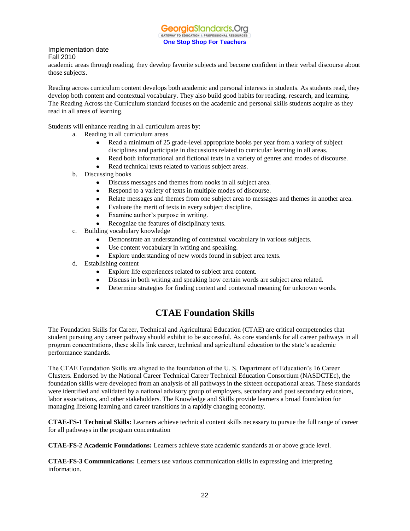academic areas through reading, they develop favorite subjects and become confident in their verbal discourse about those subjects.

Reading across curriculum content develops both academic and personal interests in students. As students read, they develop both content and contextual vocabulary. They also build good habits for reading, research, and learning. The Reading Across the Curriculum standard focuses on the academic and personal skills students acquire as they read in all areas of learning.

Students will enhance reading in all curriculum areas by:

- a. Reading in all curriculum areas
	- $\bullet$ Read a minimum of 25 grade-level appropriate books per year from a variety of subject disciplines and participate in discussions related to curricular learning in all areas.
	- Read both informational and fictional texts in a variety of genres and modes of discourse.  $\bullet$
	- Read technical texts related to various subject areas.
- b. Discussing books
	- $\bullet$ Discuss messages and themes from nooks in all subject area.
	- Respond to a variety of texts in multiple modes of discourse.
	- $\bullet$ Relate messages and themes from one subject area to messages and themes in another area.
	- Evaluate the merit of texts in every subject discipline.  $\bullet$
	- Examine author's purpose in writing.  $\bullet$
	- Recognize the features of disciplinary texts.
- c. Building vocabulary knowledge
	- Demonstrate an understanding of contextual vocabulary in various subjects.
	- Use content vocabulary in writing and speaking.
	- $\bullet$ Explore understanding of new words found in subject area texts.
- d. Establishing content
	- $\bullet$ Explore life experiences related to subject area content.
	- Discuss in both writing and speaking how certain words are subject area related.
	- Determine strategies for finding content and contextual meaning for unknown words.  $\bullet$

### **CTAE Foundation Skills**

The Foundation Skills for Career, Technical and Agricultural Education (CTAE) are critical competencies that student pursuing any career pathway should exhibit to be successful. As core standards for all career pathways in all program concentrations, these skills link career, technical and agricultural education to the state's academic performance standards.

The CTAE Foundation Skills are aligned to the foundation of the U. S. Department of Education's 16 Career Clusters. Endorsed by the National Career Technical Career Technical Education Consortium (NASDCTEc), the foundation skills were developed from an analysis of all pathways in the sixteen occupational areas. These standards were identified and validated by a national advisory group of employers, secondary and post secondary educators, labor associations, and other stakeholders. The Knowledge and Skills provide learners a broad foundation for managing lifelong learning and career transitions in a rapidly changing economy.

**CTAE-FS-1 Technical Skills:** Learners achieve technical content skills necessary to pursue the full range of career for all pathways in the program concentration

**CTAE-FS-2 Academic Foundations:** Learners achieve state academic standards at or above grade level.

**CTAE-FS-3 Communications:** Learners use various communication skills in expressing and interpreting information.